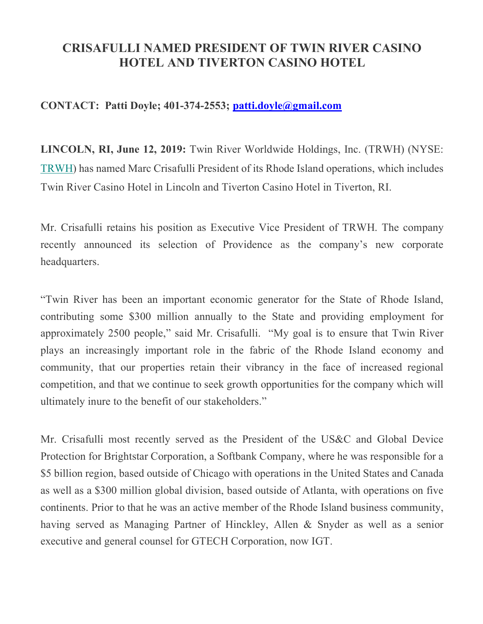## **CRISAFULLI NAMED PRESIDENT OF TWIN RIVER CASINO HOTEL AND TIVERTON CASINO HOTEL**

## **CONTACT: Patti Doyle; 401-374-2553; patti.doyle@gmail.com**

**LINCOLN, RI, June 12, 2019:** Twin River Worldwide Holdings, Inc. (TRWH) (NYSE: TRWH) has named Marc Crisafulli President of its Rhode Island operations, which includes Twin River Casino Hotel in Lincoln and Tiverton Casino Hotel in Tiverton, RI.

Mr. Crisafulli retains his position as Executive Vice President of TRWH. The company recently announced its selection of Providence as the company's new corporate headquarters.

"Twin River has been an important economic generator for the State of Rhode Island, contributing some \$300 million annually to the State and providing employment for approximately 2500 people," said Mr. Crisafulli. "My goal is to ensure that Twin River plays an increasingly important role in the fabric of the Rhode Island economy and community, that our properties retain their vibrancy in the face of increased regional competition, and that we continue to seek growth opportunities for the company which will ultimately inure to the benefit of our stakeholders."

Mr. Crisafulli most recently served as the President of the US&C and Global Device Protection for Brightstar Corporation, a Softbank Company, where he was responsible for a \$5 billion region, based outside of Chicago with operations in the United States and Canada as well as a \$300 million global division, based outside of Atlanta, with operations on five continents. Prior to that he was an active member of the Rhode Island business community, having served as Managing Partner of Hinckley, Allen & Snyder as well as a senior executive and general counsel for GTECH Corporation, now IGT.